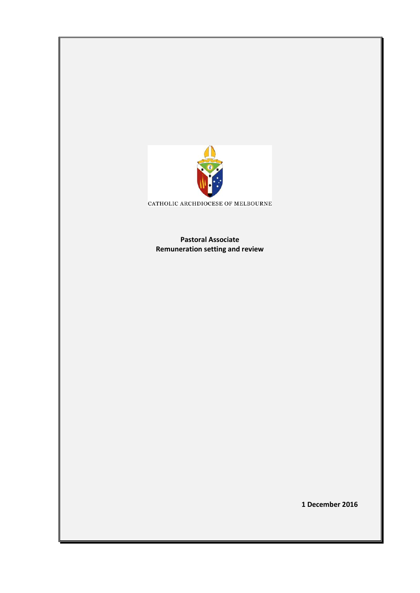

CATHOLIC ARCHDIOCESE OF MELBOURNE

**Pastoral Associate Remuneration setting and review** 

**1 December 2016**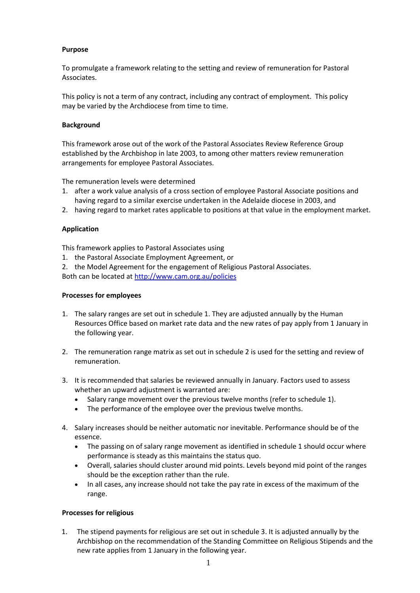## **Purpose**

To promulgate a framework relating to the setting and review of remuneration for Pastoral Associates.

This policy is not a term of any contract, including any contract of employment. This policy may be varied by the Archdiocese from time to time.

## **Background**

This framework arose out of the work of the Pastoral Associates Review Reference Group established by the Archbishop in late 2003, to among other matters review remuneration arrangements for employee Pastoral Associates.

The remuneration levels were determined

- 1. after a work value analysis of a cross section of employee Pastoral Associate positions and having regard to a similar exercise undertaken in the Adelaide diocese in 2003, and
- 2. having regard to market rates applicable to positions at that value in the employment market.

## **Application**

This framework applies to Pastoral Associates using

- 1. the Pastoral Associate Employment Agreement, or
- 2. the Model Agreement for the engagement of Religious Pastoral Associates. Both can be located a[t http://www.cam.org.au/policies](http://www.cam.org.au/policies)

## **Processes for employees**

- 1. The salary ranges are set out in schedule 1. They are adjusted annually by the Human Resources Office based on market rate data and the new rates of pay apply from 1 January in the following year.
- 2. The remuneration range matrix as set out in schedule 2 is used for the setting and review of remuneration.
- 3. It is recommended that salaries be reviewed annually in January. Factors used to assess whether an upward adjustment is warranted are:
	- Salary range movement over the previous twelve months (refer to schedule 1).
	- The performance of the employee over the previous twelve months.
- 4. Salary increases should be neither automatic nor inevitable. Performance should be of the essence.
	- The passing on of salary range movement as identified in schedule 1 should occur where performance is steady as this maintains the status quo.
	- Overall, salaries should cluster around mid points. Levels beyond mid point of the ranges should be the exception rather than the rule.
	- In all cases, any increase should not take the pay rate in excess of the maximum of the range.

#### **Processes for religious**

1. The stipend payments for religious are set out in schedule 3. It is adjusted annually by the Archbishop on the recommendation of the Standing Committee on Religious Stipends and the new rate applies from 1 January in the following year.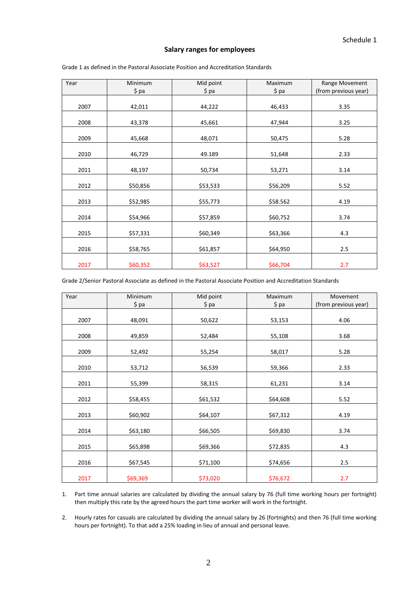## **Salary ranges for employees**

| Year | Minimum  | Mid point | Maximum  | Range Movement       |
|------|----------|-----------|----------|----------------------|
|      | \$ pa    | \$ pa     | $$$ pa   | (from previous year) |
|      |          |           |          |                      |
| 2007 | 42,011   | 44,222    | 46,433   | 3.35                 |
|      |          |           |          |                      |
| 2008 | 43,378   | 45,661    | 47,944   | 3.25                 |
| 2009 | 45,668   | 48,071    | 50,475   | 5.28                 |
|      |          |           |          |                      |
| 2010 | 46,729   | 49.189    | 51,648   | 2.33                 |
|      |          |           |          |                      |
| 2011 | 48,197   | 50,734    | 53,271   | 3.14                 |
| 2012 | \$50,856 | \$53,533  | \$56,209 | 5.52                 |
|      |          |           |          |                      |
| 2013 | \$52,985 | \$55,773  | \$58.562 | 4.19                 |
| 2014 | \$54,966 | \$57,859  | \$60,752 | 3.74                 |
|      |          |           |          |                      |
| 2015 | \$57,331 | \$60,349  | \$63,366 | 4.3                  |
| 2016 | \$58,765 | \$61,857  | \$64,950 | 2.5                  |
| 2017 | \$60,352 | \$63,527  | \$66,704 | 2.7                  |

Grade 1 as defined in the Pastoral Associate Position and Accreditation Standards

| Year | Minimum  | Mid point | Maximum  | Movement             |
|------|----------|-----------|----------|----------------------|
|      | $$$ pa   | $$$ pa    | \$pa     | (from previous year) |
| 2007 | 48,091   | 50,622    | 53,153   | 4.06                 |
| 2008 | 49,859   | 52,484    | 55,108   | 3.68                 |
| 2009 | 52,492   | 55,254    | 58,017   | 5.28                 |
| 2010 | 53,712   | 56,539    | 59,366   | 2.33                 |
| 2011 | 55,399   | 58,315    | 61,231   | 3.14                 |
| 2012 | \$58,455 | \$61,532  | \$64,608 | 5.52                 |
| 2013 | \$60,902 | \$64,107  | \$67,312 | 4.19                 |
| 2014 | \$63,180 | \$66,505  | \$69,830 | 3.74                 |
| 2015 | \$65,898 | \$69,366  | \$72,835 | 4.3                  |
| 2016 | \$67,545 | \$71,100  | \$74,656 | 2.5                  |
| 2017 | \$69,369 | \$73,020  | \$76,672 | 2.7                  |

1. Part time annual salaries are calculated by dividing the annual salary by 76 (full time working hours per fortnight) then multiply this rate by the agreed hours the part time worker will work in the fortnight.

2. Hourly rates for casuals are calculated by dividing the annual salary by 26 (fortnights) and then 76 (full time working hours per fortnight). To that add a 25% loading in lieu of annual and personal leave.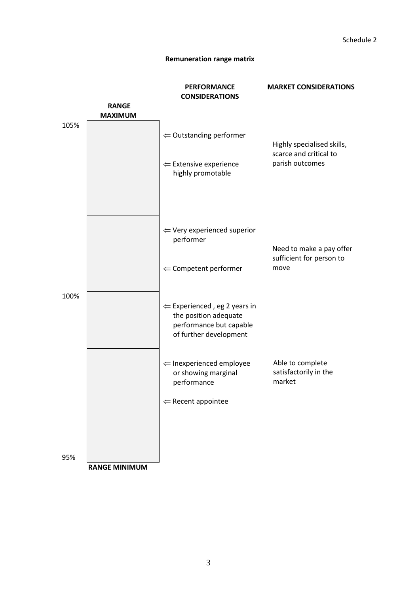# **Remuneration range matrix**

|      |                                | <b>PERFORMANCE</b><br><b>CONSIDERATIONS</b>                                                                           | <b>MARKET CONSIDERATIONS</b>                         |
|------|--------------------------------|-----------------------------------------------------------------------------------------------------------------------|------------------------------------------------------|
|      | <b>RANGE</b><br><b>MAXIMUM</b> |                                                                                                                       |                                                      |
| 105% |                                | $\Leftarrow$ Outstanding performer                                                                                    | Highly specialised skills,<br>scarce and critical to |
|      |                                | $\Leftarrow$ Extensive experience<br>highly promotable                                                                | parish outcomes                                      |
|      |                                | $\Leftarrow$ Very experienced superior<br>performer                                                                   | Need to make a pay offer<br>sufficient for person to |
| 100% |                                | $\Leftarrow$ Competent performer                                                                                      | move                                                 |
|      |                                | $\Leftarrow$ Experienced, eg 2 years in<br>the position adequate<br>performance but capable<br>of further development |                                                      |
|      |                                | $\Leftarrow$ Inexperienced employee<br>or showing marginal<br>performance                                             | Able to complete<br>satisfactorily in the<br>market  |
|      |                                | $\Leftarrow$ Recent appointee                                                                                         |                                                      |
| 95%  | <b>RANGE MINIMUM</b>           |                                                                                                                       |                                                      |